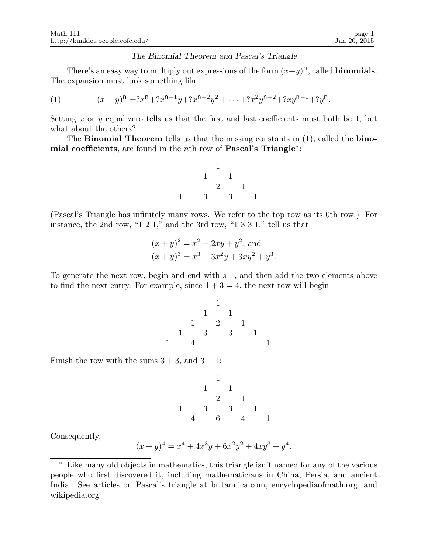## The Binomial Theorem and Pascal's Triangle

There's an easy way to multiply out expressions of the form  $(x+y)^n$ , called **binomials**. The expansion must look something like

(1) 
$$
(x+y)^n = ?x^n + ?x^{n-1}y + ?x^{n-2}y^2 + \dots + ?x^2y^{n-2} + ?xy^{n-1} + ?y^n.
$$

Setting x or y equal zero tells us that the first and last coefficients must both be 1, but what about the others?

The Binomial Theorem tells us that the missing constants in (1), called the binomial coefficients, are found in the *n*th row of Pascal's Triangle<sup>\*</sup>:



(Pascal's Triangle has infinitely many rows. We refer to the top row as its 0th row.) For instance, the 2nd row, "1 2 1," and the 3rd row, "1 3 3 1," tell us that

$$
(x+y)^2 = x^2 + 2xy + y^2
$$
, and  
\n $(x+y)^3 = x^3 + 3x^2y + 3xy^2 + y^3$ .

To generate the next row, begin and end with a 1, and then add the two elements above to find the next entry. For example, since  $1 + 3 = 4$ , the next row will begin

1 1 1 1 2 1 1 3 3 1 1 4 1

Finish the row with the sums  $3 + 3$ , and  $3 + 1$ :

1 1 1 1 2 1 1 3 3 1 1 4 6 4 1

Consequently,

$$
(x+y)^4 = x^4 + 4x^3y + 6x^2y^2 + 4xy^3 + y^4.
$$

<sup>∗</sup> Like many old objects in mathematics, this triangle isn't named for any of the various people who first discovered it, including mathematicians in China, Persia, and ancient India. See articles on Pascal's triangle at britannica.com, encyclopediaofmath.org, and wikipedia.org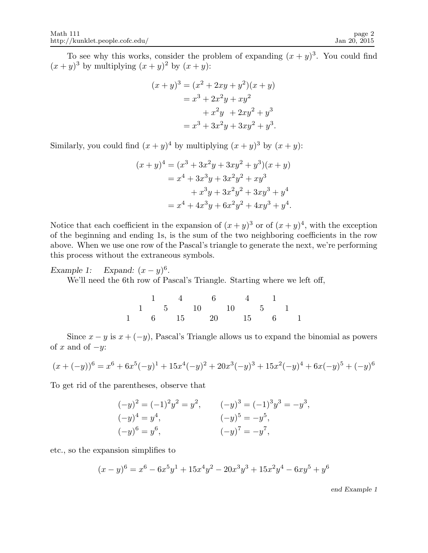To see why this works, consider the problem of expanding  $(x + y)^3$ . You could find  $(x+y)^3$  by multiplying  $(x+y)^2$  by  $(x+y)$ :

$$
(x + y)3 = (x2 + 2xy + y2)(x + y)
$$
  
= x<sup>3</sup> + 2x<sup>2</sup>y + xy<sup>2</sup>  
+ x<sup>2</sup>y + 2xy<sup>2</sup> + y<sup>3</sup>  
= x<sup>3</sup> + 3x<sup>2</sup>y + 3xy<sup>2</sup> + y<sup>3</sup>.

Similarly, you could find  $(x+y)^4$  by multiplying  $(x+y)^3$  by  $(x+y)$ :

$$
(x + y)4 = (x3 + 3x2y + 3xy2 + y3)(x + y)
$$
  
= x<sup>4</sup> + 3x<sup>3</sup>y + 3x<sup>2</sup>y<sup>2</sup> + xy<sup>3</sup>  
+ x<sup>3</sup>y + 3x<sup>2</sup>y<sup>2</sup> + 3xy<sup>3</sup> + y<sup>4</sup>  
= x<sup>4</sup> + 4x<sup>3</sup>y + 6x<sup>2</sup>y<sup>2</sup> + 4xy<sup>3</sup> + y<sup>4</sup>.

Notice that each coefficient in the expansion of  $(x+y)^3$  or of  $(x+y)^4$ , with the exception of the beginning and ending 1s, is the sum of the two neighboring coefficients in the row above. When we use one row of the Pascal's triangle to generate the next, we're performing this process without the extraneous symbols.

Example 1: Expand:  $(x - y)^6$ .

We'll need the 6th row of Pascal's Triangle. Starting where we left off,

1 4 6 4 1 1 5 10 10 5 1 1 6 15 20 15 6 1

Since  $x - y$  is  $x + (-y)$ , Pascal's Triangle allows us to expand the binomial as powers of x and of  $-y$ :

$$
(x + (-y))^6 = x^6 + 6x^5(-y)^1 + 15x^4(-y)^2 + 20x^3(-y)^3 + 15x^2(-y)^4 + 6x(-y)^5 + (-y)^6
$$

To get rid of the parentheses, observe that

$$
(-y)^2 = (-1)^2 y^2 = y^2, \t (-y)^3 = (-1)^3 y^3 = -y^3,
$$
  
\n
$$
(-y)^4 = y^4, \t (-y)^5 = -y^5,
$$
  
\n
$$
(-y)^6 = y^6, \t (-y)^7 = -y^7,
$$

etc., so the expansion simplifies to

$$
(x - y)^6 = x^6 - 6x^5y^1 + 15x^4y^2 - 20x^3y^3 + 15x^2y^4 - 6xy^5 + y^6
$$

end Example 1